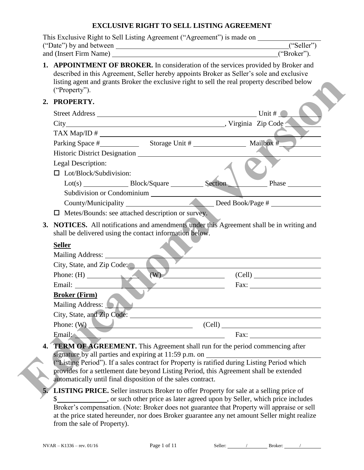# **EXCLUSIVE RIGHT TO SELL LISTING AGREEMENT**

| ("Date") by and between                                                                                                                                                                                                                                                                                                                                                                                                                     |     | ("Seller")                                                                                                                                                                                                                           |
|---------------------------------------------------------------------------------------------------------------------------------------------------------------------------------------------------------------------------------------------------------------------------------------------------------------------------------------------------------------------------------------------------------------------------------------------|-----|--------------------------------------------------------------------------------------------------------------------------------------------------------------------------------------------------------------------------------------|
| and (Insert Firm Name) ("Broker").                                                                                                                                                                                                                                                                                                                                                                                                          |     |                                                                                                                                                                                                                                      |
| 1. APPOINTMENT OF BROKER. In consideration of the services provided by Broker and<br>described in this Agreement, Seller hereby appoints Broker as Seller's sole and exclusive<br>listing agent and grants Broker the exclusive right to sell the real property described below<br>("Property").                                                                                                                                            |     |                                                                                                                                                                                                                                      |
| 2. PROPERTY.                                                                                                                                                                                                                                                                                                                                                                                                                                |     |                                                                                                                                                                                                                                      |
|                                                                                                                                                                                                                                                                                                                                                                                                                                             |     |                                                                                                                                                                                                                                      |
|                                                                                                                                                                                                                                                                                                                                                                                                                                             |     |                                                                                                                                                                                                                                      |
| $TAX Map/ID # \_$                                                                                                                                                                                                                                                                                                                                                                                                                           |     |                                                                                                                                                                                                                                      |
|                                                                                                                                                                                                                                                                                                                                                                                                                                             |     |                                                                                                                                                                                                                                      |
|                                                                                                                                                                                                                                                                                                                                                                                                                                             |     |                                                                                                                                                                                                                                      |
| Legal Description:                                                                                                                                                                                                                                                                                                                                                                                                                          |     |                                                                                                                                                                                                                                      |
| $\Box$ Lot/Block/Subdivision:                                                                                                                                                                                                                                                                                                                                                                                                               |     |                                                                                                                                                                                                                                      |
| Lot(s) Block/Square Section                                                                                                                                                                                                                                                                                                                                                                                                                 |     | Phase                                                                                                                                                                                                                                |
| Subdivision or Condominium                                                                                                                                                                                                                                                                                                                                                                                                                  |     |                                                                                                                                                                                                                                      |
|                                                                                                                                                                                                                                                                                                                                                                                                                                             |     |                                                                                                                                                                                                                                      |
| $\Box$ Metes/Bounds: see attached description or survey.                                                                                                                                                                                                                                                                                                                                                                                    |     |                                                                                                                                                                                                                                      |
| shall be delivered using the contact information below.<br><b>Seller</b><br>Mailing Address:                                                                                                                                                                                                                                                                                                                                                |     |                                                                                                                                                                                                                                      |
| City, State, and Zip Code:                                                                                                                                                                                                                                                                                                                                                                                                                  |     |                                                                                                                                                                                                                                      |
| Phone: $(H)$                                                                                                                                                                                                                                                                                                                                                                                                                                | (W) |                                                                                                                                                                                                                                      |
| Email:                                                                                                                                                                                                                                                                                                                                                                                                                                      |     | Fax: $\qquad \qquad$                                                                                                                                                                                                                 |
| <b>Broker (Firm)</b>                                                                                                                                                                                                                                                                                                                                                                                                                        |     |                                                                                                                                                                                                                                      |
| Mailing Address: $\bullet$                                                                                                                                                                                                                                                                                                                                                                                                                  |     | $\blacksquare$ . The contract of the contract of the contract of the contract of the contract of the contract of the contract of the contract of the contract of the contract of the contract of the contract of the contract of the |
|                                                                                                                                                                                                                                                                                                                                                                                                                                             |     |                                                                                                                                                                                                                                      |
| Phone: $(W)$                                                                                                                                                                                                                                                                                                                                                                                                                                |     | (Cell)                                                                                                                                                                                                                               |
| $\frac{1}{\sqrt{1-\frac{1}{\sqrt{1-\frac{1}{\sqrt{1-\frac{1}{\sqrt{1-\frac{1}{\sqrt{1-\frac{1}{\sqrt{1-\frac{1}{\sqrt{1-\frac{1}{\sqrt{1-\frac{1}{\sqrt{1-\frac{1}{\sqrt{1-\frac{1}{\sqrt{1-\frac{1}{\sqrt{1-\frac{1}{\sqrt{1-\frac{1}{\sqrt{1-\frac{1}{\sqrt{1-\frac{1}{\sqrt{1-\frac{1}{\sqrt{1-\frac{1}{\sqrt{1-\frac{1}{\sqrt{1-\frac{1}{\sqrt{1-\frac{1}{\sqrt{1-\frac{1}{\sqrt{1-\frac{1}{\sqrt{1-\frac{1}{\sqrt{1-\frac{1$<br>Email: |     |                                                                                                                                                                                                                                      |
| 4. TERM OF AGREEMENT. This Agreement shall run for the period commencing after                                                                                                                                                                                                                                                                                                                                                              |     |                                                                                                                                                                                                                                      |
| signature by all parties and expiring at 11:59 p.m. on                                                                                                                                                                                                                                                                                                                                                                                      |     |                                                                                                                                                                                                                                      |
| ("Listing Period"). If a sales contract for Property is ratified during Listing Period which                                                                                                                                                                                                                                                                                                                                                |     |                                                                                                                                                                                                                                      |
| provides for a settlement date beyond Listing Period, this Agreement shall be extended<br>automatically until final disposition of the sales contract.                                                                                                                                                                                                                                                                                      |     |                                                                                                                                                                                                                                      |
|                                                                                                                                                                                                                                                                                                                                                                                                                                             |     |                                                                                                                                                                                                                                      |
| <b>LISTING PRICE.</b> Seller instructs Broker to offer Property for sale at a selling price of<br>. or such other price as later agreed upon by Seller, which price includes<br>\$                                                                                                                                                                                                                                                          |     |                                                                                                                                                                                                                                      |
| Broker's compensation. (Note: Broker does not guarantee that Property will appraise or sell                                                                                                                                                                                                                                                                                                                                                 |     |                                                                                                                                                                                                                                      |
| at the price stated hereunder, nor does Broker guarantee any net amount Seller might realize                                                                                                                                                                                                                                                                                                                                                |     |                                                                                                                                                                                                                                      |
| from the sale of Property).                                                                                                                                                                                                                                                                                                                                                                                                                 |     |                                                                                                                                                                                                                                      |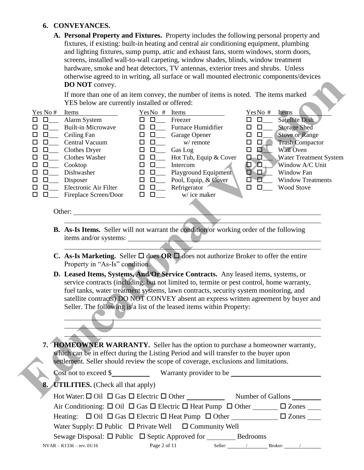#### **6. CONVEYANCES.**

**A. Personal Property and Fixtures.** Property includes the following personal property and fixtures, if existing: built-in heating and central air conditioning equipment, plumbing and lighting fixtures, sump pump, attic and exhaust fans, storm windows, storm doors, screens, installed wall-to-wall carpeting, window shades, blinds, window treatment hardware, smoke and heat detectors, TV antennas, exterior trees and shrubs. Unless otherwise agreed to in writing, all surface or wall mounted electronic components/devices **DO NOT** convey.

|                                                                                                                                                                                       | <b>DO NOT</b> convey.                                                                                                                                                                                         |                                                                                                                                                                                                                                                                                                                                                                                                                                                                                      |                                                                                                                                                                                                                                                                                                                                                                                                                                   |
|---------------------------------------------------------------------------------------------------------------------------------------------------------------------------------------|---------------------------------------------------------------------------------------------------------------------------------------------------------------------------------------------------------------|--------------------------------------------------------------------------------------------------------------------------------------------------------------------------------------------------------------------------------------------------------------------------------------------------------------------------------------------------------------------------------------------------------------------------------------------------------------------------------------|-----------------------------------------------------------------------------------------------------------------------------------------------------------------------------------------------------------------------------------------------------------------------------------------------------------------------------------------------------------------------------------------------------------------------------------|
|                                                                                                                                                                                       | YES below are currently installed or offered:                                                                                                                                                                 | If more than one of an item convey, the number of items is noted. The items marked                                                                                                                                                                                                                                                                                                                                                                                                   |                                                                                                                                                                                                                                                                                                                                                                                                                                   |
| Yes No #<br>$\Box$<br>п<br>$\Box$<br>ப<br>$\Box$<br>□<br>$\Box$<br>□<br>$\Box$<br>□<br>□<br>$\Box$<br>□<br>$\Box$<br>$\overline{\phantom{a}}$<br>$\Box$<br>□<br>$\Box$<br>□<br>□<br>ப | Items<br>Alarm System<br><b>Built-in Microwave</b><br>Ceiling Fan<br>Central Vacuum<br>Clothes Dryer<br>Clothes Washer<br>Cooktop<br>Dishwasher<br>Disposer<br>Electronic Air Filter<br>Fireplace Screen/Door | $YesNo$ # Items<br>$\Box$<br>Freezer<br>□<br><b>Furnace Humidifier</b><br>$\Box$<br>□<br>$\square$<br>Garage Opener<br>$\Box$<br>$\Box$<br>w/ remote<br>$\Box$<br>$\Box$<br>Gas Log<br>$\Box$<br>Hot Tub, Equip & Cover<br>$\square$<br>$\Box$<br>$\square$<br>Intercom<br>□<br>Playground Equipment<br>$\Box$<br>$\square$<br>Pool, Equip, & Cover<br>□<br>$\Box$<br>Refrigerator<br>$\begin{array}{c} \square \ \ \square \ \ \square \end{array}$<br>w/ice maker<br>$\Box$ $\Box$ | YesNo#<br>Items<br><b>Satellite Dish</b><br>$\Box$<br>$\Box$<br><b>Storage Shed</b><br>$\Box$<br><b>Stove or Range</b><br>$\Box$<br>$\Box$<br><b>Trash Compactor</b><br>$\Box$<br>$\Box$<br>口<br>$\Box$<br>Wall Oven<br><b>Water Treatment System</b><br><b>D-0</b><br>$\blacksquare$<br>Window A/C Unit<br><u>Д</u><br>O<br>$\Box$<br>Window Fan<br>$\blacksquare$<br><b>Window Treatments</b><br>□<br>$\Box$<br>Wood Stove<br>0 |
|                                                                                                                                                                                       | Other:                                                                                                                                                                                                        |                                                                                                                                                                                                                                                                                                                                                                                                                                                                                      |                                                                                                                                                                                                                                                                                                                                                                                                                                   |
|                                                                                                                                                                                       | items and/or systems:                                                                                                                                                                                         | <b>B.</b> As-Is Items. Seller will not warrant the condition or working order of the following<br><b>C.</b> As-Is Marketing. Seller $\Box$ does OR $\Box$ does not authorize Broker to offer the entire                                                                                                                                                                                                                                                                              |                                                                                                                                                                                                                                                                                                                                                                                                                                   |
|                                                                                                                                                                                       | Property in "As-Is" condition.                                                                                                                                                                                |                                                                                                                                                                                                                                                                                                                                                                                                                                                                                      |                                                                                                                                                                                                                                                                                                                                                                                                                                   |
|                                                                                                                                                                                       |                                                                                                                                                                                                               | D. Leased Items, Systems, And/Or Service Contracts. Any leased items, systems, or<br>service contracts (including, but not limited to, termite or pest control, home warranty,<br>fuel tanks, water treatment systems, lawn contracts, security system monitoring, and<br>satellite contracts) DO NOT CONVEY absent an express written agreement by buyer and<br>Seller. The following is a list of the leased items within Property:                                                |                                                                                                                                                                                                                                                                                                                                                                                                                                   |
|                                                                                                                                                                                       |                                                                                                                                                                                                               | HOMEOWNER WARRANTY. Seller has the option to purchase a homeowner warranty,<br>which can be in effect during the Listing Period and will transfer to the buyer upon<br>settlement. Seller should review the scope of coverage, exclusions and limitations.                                                                                                                                                                                                                           |                                                                                                                                                                                                                                                                                                                                                                                                                                   |
|                                                                                                                                                                                       |                                                                                                                                                                                                               |                                                                                                                                                                                                                                                                                                                                                                                                                                                                                      |                                                                                                                                                                                                                                                                                                                                                                                                                                   |
|                                                                                                                                                                                       | 8. UTILITIES. (Check all that apply)                                                                                                                                                                          |                                                                                                                                                                                                                                                                                                                                                                                                                                                                                      |                                                                                                                                                                                                                                                                                                                                                                                                                                   |
|                                                                                                                                                                                       |                                                                                                                                                                                                               | Hot Water: $\Box$ Oil $\Box$ Gas $\Box$ Electric $\Box$ Other                                                                                                                                                                                                                                                                                                                                                                                                                        | Number of Gallons                                                                                                                                                                                                                                                                                                                                                                                                                 |

- **B. As-Is Items.** Seller will not warrant the condition or working order of the following items and/or systems:
- **C.** As-Is Marketing. Seller  $\Box$  does OR  $\Box$  does not authorize Broker to offer the entire Property in "As-Is" condition.
- **D. Leased Items, Systems, And/Or Service Contracts.** Any leased items, systems, or service contracts (including, but not limited to, termite or pest control, home warranty, fuel tanks, water treatment systems, lawn contracts, security system monitoring, and satellite contracts) DO NOT CONVEY absent an express written agreement by buyer and Seller. The following is a list of the leased items within Property:

| 7. HOMEOWNER WARRANTY. Seller has the option to purchase a homeowner warranty,       |
|--------------------------------------------------------------------------------------|
| which can be in effect during the Listing Period and will transfer to the buyer upon |
| settlement. Seller should review the scope of coverage, exclusions and limitations.  |

| 8. UTILITIES. (Check all that apply)                                                                    |              |                              |         |  |
|---------------------------------------------------------------------------------------------------------|--------------|------------------------------|---------|--|
| Hot Water: $\Box$ Oil $\Box$ Gas $\Box$ Electric $\Box$ Other                                           |              | Number of Gallons            |         |  |
| Air Conditioning: $\Box$ Oil $\Box$ Gas $\Box$ Electric $\Box$ Heat Pump $\Box$ Other $\Box$ Zones      |              |                              |         |  |
| Heating: $\Box$ Oil $\Box$ Gas $\Box$ Electric $\Box$ Heat Pump $\Box$ Other $\Box$ $\Box$ Zones $\Box$ |              |                              |         |  |
| Water Supply: $\Box$ Public $\Box$ Private Well $\Box$ Community Well                                   |              |                              |         |  |
| Sewage Disposal: $\Box$ Public $\Box$ Septic Approved for Bedrooms                                      |              |                              |         |  |
| $NVAR - K1336 - rev. 01/16$                                                                             | Page 2 of 11 | Seller: $\frac{\sqrt{2}}{2}$ | Broker: |  |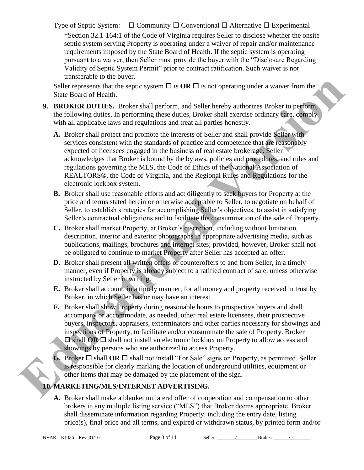Type of Septic System:  $\Box$  Community  $\Box$  Conventional  $\Box$  Alternative  $\Box$  Experimental

\*Section 32.1-164:1 of the Code of Virginia requires Seller to disclose whether the onsite septic system serving Property is operating under a waiver of repair and/or maintenance requirements imposed by the State Board of Health. If the septic system is operating pursuant to a waiver, then Seller must provide the buyer with the "Disclosure Regarding Validity of Septic System Permit" prior to contract ratification. Such waiver is not transferable to the buyer.

Seller represents that the septic system  $\Box$  is **OR**  $\Box$  is not operating under a waiver from the State Board of Health.

- **9. BROKER DUTIES.** Broker shall perform, and Seller hereby authorizes Broker to perform, the following duties. In performing these duties, Broker shall exercise ordinary care, comply with all applicable laws and regulations and treat all parties honestly.
- **A.** Broker shall protect and promote the interests of Seller and shall provide Seller with services consistent with the standards of practice and competence that are reasonably expected of licensees engaged in the business of real estate brokerage. Seller acknowledges that Broker is bound by the bylaws, policies and procedures, and rules and regulations governing the MLS, the Code of Ethics of the National Association of REALTORS®, the Code of Virginia, and the Regional Rules and Regulations for the electronic lockbox system. Seller represents that the septic system  $\Box$  is **OR**  $\Box$  is not operating under a waver from the Suite Bound of Health perform, and Seller hereby authorizes Broker to perform, the Hotomas during these during these during
	- **B.** Broker shall use reasonable efforts and act diligently to seek buyers for Property at the price and terms stated herein or otherwise acceptable to Seller, to negotiate on behalf of Seller, to establish strategies for accomplishing Seller's objectives, to assist in satisfying Seller's contractual obligations and to facilitate the consummation of the sale of Property.
	- **C.** Broker shall market Property, at Broker's discretion, including without limitation, description, interior and exterior photographs in appropriate advertising media, such as publications, mailings, brochures and internet sites; provided, however, Broker shall not be obligated to continue to market Property after Seller has accepted an offer.
	- **D.** Broker shall present all written offers or counteroffers to and from Seller, in a timely manner, even if Property is already subject to a ratified contract of sale, unless otherwise instructed by Seller in writing.
	- **E.** Broker shall account, in a timely manner, for all money and property received in trust by Broker, in which Seller has or may have an interest.
	- **F.** Broker shall show Property during reasonable hours to prospective buyers and shall accompany or accommodate, as needed, other real estate licensees, their prospective buyers, inspectors, appraisers, exterminators and other parties necessary for showings and inspections of Property, to facilitate and/or consummate the sale of Property. Broker  $\Box$  shall **OR**  $\Box$  shall not install an electronic lockbox on Property to allow access and showings by persons who are authorized to access Property.
	- **G.** Broker  $\Box$  shall **OR**  $\Box$  shall not install "For Sale" signs on Property, as permitted. Seller is responsible for clearly marking the location of underground utilities, equipment or other items that may be damaged by the placement of the sign.

# **10. MARKETING/MLS/INTERNET ADVERTISING.**

**A.** Broker shall make a blanket unilateral offer of cooperation and compensation to other brokers in any multiple listing service ("MLS") that Broker deems appropriate. Broker shall disseminate information regarding Property, including the entry date, listing price(s), final price and all terms, and expired or withdrawn status, by printed form and/or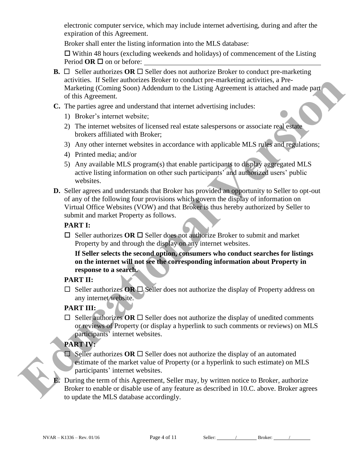electronic computer service, which may include internet advertising, during and after the expiration of this Agreement.

Broker shall enter the listing information into the MLS database:

 $\Box$  Within 48 hours (excluding weekends and holidays) of commencement of the Listing Period  $OR \square$  on or before:

- **B.**  $\Box$  Seller authorizes **OR**  $\Box$  Seller does not authorize Broker to conduct pre-marketing activities. If Seller authorizes Broker to conduct pre-marketing activities, a Pre-Marketing (Coming Soon) Addendum to the Listing Agreement is attached and made part of this Agreement.
- **C.** The parties agree and understand that internet advertising includes:
	- 1) Broker's internet website;
	- 2) The internet websites of licensed real estate salespersons or associate real estate brokers affiliated with Broker;
	- 3) Any other internet websites in accordance with applicable MLS rules and regulations;
	- 4) Printed media; and/or
	- 5) Any available MLS program(s) that enable participants to display aggregated MLS active listing information on other such participants' and authorized users' public websites.
- **D.** Seller agrees and understands that Broker has provided an opportunity to Seller to opt-out of any of the following four provisions which govern the display of information on Virtual Office Websites (VOW) and that Broker is thus hereby authorized by Seller to submit and market Property as follows. Fre-marketing activities, a Pre-<br>
Ing Agreement is attached and made part<br>
Fritising includes:<br>
Ilespersons or associate real estate<br> **Propriet is an and activity**<br> **Propriet is an amazing the start of the parts of an amaz**

#### **PART I:**

 $\Box$  Seller authorizes OR  $\Box$  Seller does not authorize Broker to submit and market Property by and through the display on any internet websites.

**If Seller selects the second option, consumers who conduct searches for listings on the internet will not see the corresponding information about Property in response to a search.** 

### **PART II:**

 $\Box$  Seller authorizes **OR**  $\Box$  Seller does not authorize the display of Property address on any internet website.

# **PART III:**

 $\Box$  Seller authorizes OR  $\Box$  Seller does not authorize the display of unedited comments or reviews of Property (or display a hyperlink to such comments or reviews) on MLS participants' internet websites. of any of the following four provisions which govern the defined Office Websites (VOW) and that Broker is thus he<br>submit and market Property as follows.<br> **PART I:**<br> **EDUCATIVE EXECUCATIVE ANT IT AND THE SUBMARY TO SUBMARY** 

# **PART IV:**

- $\Box$  Seller authorizes **OR**  $\Box$  Seller does not authorize the display of an automated estimate of the market value of Property (or a hyperlink to such estimate) on MLS participants' internet websites.
- **E.** During the term of this Agreement, Seller may, by written notice to Broker, authorize Broker to enable or disable use of any feature as described in 10.C. above. Broker agrees to update the MLS database accordingly.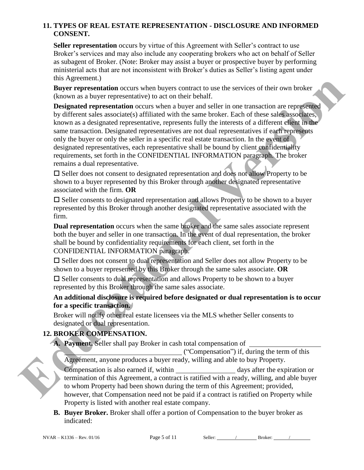#### **11. TYPES OF REAL ESTATE REPRESENTATION - DISCLOSURE AND INFORMED CONSENT.**

**Seller representation** occurs by virtue of this Agreement with Seller's contract to use Broker's services and may also include any cooperating brokers who act on behalf of Seller as subagent of Broker. (Note: Broker may assist a buyer or prospective buyer by performing ministerial acts that are not inconsistent with Broker's duties as Seller's listing agent under this Agreement.)

**Buyer representation** occurs when buyers contract to use the services of their own broker (known as a buyer representative) to act on their behalf.

**Designated representation** occurs when a buyer and seller in one transaction are represented by different sales associate(s) affiliated with the same broker. Each of these sales associates, known as a designated representative, represents fully the interests of a different client in the same transaction. Designated representatives are not dual representatives if each represents only the buyer or only the seller in a specific real estate transaction. In the event of designated representatives, each representative shall be bound by client confidentiality requirements, set forth in the CONFIDENTIAL INFORMATION paragraph. The broker remains a dual representative. **EDUCATION**<br> **EDUCATION**<br> **EDUCATION**<br> **EDUCATION**<br> **EDUCATION**<br> **EDUCATION**<br> **EDUCATION**<br> **EDUCATION**<br> **EDUCATION**<br> **EDUCATION**<br> **EDUCATION**<br> **EDUCATION**<br> **EDUCATION**<br> **EDUCATION**<br> **EDUCATION**<br> **EDUCATION**<br> **EDUCATION**<br>

 $\square$  Seller does not consent to designated representation and does not allow Property to be shown to a buyer represented by this Broker through another designated representative associated with the firm. **OR**

 $\square$  Seller consents to designated representation and allows Property to be shown to a buyer represented by this Broker through another designated representative associated with the firm.

**Dual representation** occurs when the same broker and the same sales associate represent both the buyer and seller in one transaction. In the event of dual representation, the broker shall be bound by confidentiality requirements for each client, set forth in the CONFIDENTIAL INFORMATION paragraph.

 $\square$  Seller does not consent to dual representation and Seller does not allow Property to be shown to a buyer represented by this Broker through the same sales associate. **OR**

 $\square$  Seller consents to dual representation and allows Property to be shown to a buyer represented by this Broker through the same sales associate.

#### **An additional disclosure is required before designated or dual representation is to occur for a specific transaction.**

Broker will notify other real estate licensees via the MLS whether Seller consents to designated or dual representation.

# **12. BROKER COMPENSATION.**

**A. Payment.** Seller shall pay Broker in cash total compensation of

 ("Compensation") if, during the term of this Agreement, anyone produces a buyer ready, willing and able to buy Property. Compensation is also earned if, within days after the expiration or termination of this Agreement, a contract is ratified with a ready, willing, and able buyer to whom Property had been shown during the term of this Agreement; provided, however, that Compensation need not be paid if a contract is ratified on Property while Property is listed with another real estate company.

**B. Buyer Broker.** Broker shall offer a portion of Compensation to the buyer broker as indicated: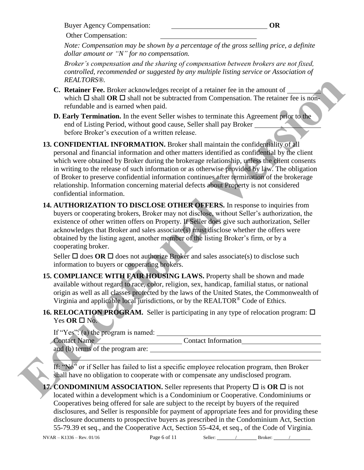Buyer Agency Compensation: **OR**

Other Compensation:

*Note: Compensation may be shown by a percentage of the gross selling price, a definite dollar amount or "N" for no compensation.* 

*Broker's compensation and the sharing of compensation between brokers are not fixed, controlled, recommended or suggested by any multiple listing service or Association of REALTORS®.*

- **C. Retainer Fee.** Broker acknowledges receipt of a retainer fee in the amount of which  $\Box$  shall **OR**  $\Box$  shall not be subtracted from Compensation. The retainer fee is nonrefundable and is earned when paid.
- **D. Early Termination.** In the event Seller wishes to terminate this Agreement prior to the end of Listing Period, without good cause, Seller shall pay Broker before Broker's execution of a written release.

**13. CONFIDENTIAL INFORMATION.** Broker shall maintain the confidentiality of all personal and financial information and other matters identified as confidential by the client which were obtained by Broker during the brokerage relationship, unless the client consents in writing to the release of such information or as otherwise provided by law. The obligation of Broker to preserve confidential information continues after termination of the brokerage relationship. Information concerning material defects about Property is not considered confidential information. *EALTOR*WE CONFIGURATION TO DISCLUSE COTHER CEPTIVES (MEVICAL SCIUTE) The New Yorkin LI Sharp and Original Original Original Original Original Original Version (The University of The Configuration 1. The CONFIGURATION TO D

**14. AUTHORIZATION TO DISCLOSE OTHER OFFERS.** In response to inquiries from buyers or cooperating brokers, Broker may not disclose, without Seller's authorization, the existence of other written offers on Property. If Seller does give such authorization, Seller acknowledges that Broker and sales associate(s) must disclose whether the offers were obtained by the listing agent, another member of the listing Broker's firm, or by a cooperating broker.

Seller  $\Box$  does **OR**  $\Box$  does not authorize Broker and sales associate(s) to disclose such information to buyers or cooperating brokers.

**15. COMPLIANCE WITH FAIR HOUSING LAWS.** Property shall be shown and made available without regard to race, color, religion, sex, handicap, familial status, or national origin as well as all classes protected by the laws of the United States, the Commonwealth of Virginia and applicable local jurisdictions, or by the REALTOR® Code of Ethics.

# **16. RELOCATION PROGRAM.** Seller is participating in any type of relocation program:  $\Box$ Yes  $OR \square$  No.

If "Yes": (a) the program is named:

Contact Name <u>Contact Information</u>

and (b) terms of the program are:  $\overline{\phantom{a}}$ 

If: "No" or if Seller has failed to list a specific employee relocation program, then Broker shall have no obligation to cooperate with or compensate any undisclosed program.

**17. CONDOMINIUM ASSOCIATION.** Seller represents that Property  $\Box$  is  $\overline{OR}$   $\Box$  is not located within a development which is a Condominium or Cooperative. Condominiums or Cooperatives being offered for sale are subject to the receipt by buyers of the required disclosures, and Seller is responsible for payment of appropriate fees and for providing these disclosure documents to prospective buyers as prescribed in the Condominium Act, Section 55-79.39 et seq., and the Cooperative Act, Section 55-424, et seq., of the Code of Virginia.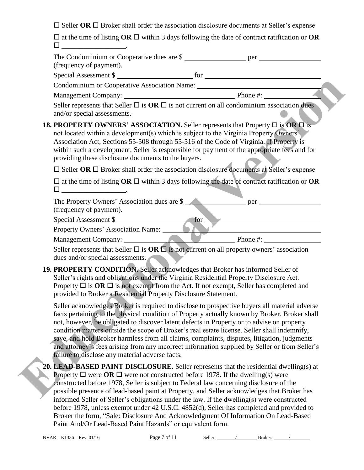$\square$  Seller **OR**  $\square$  Broker shall order the association disclosure documents at Seller's expense

 $\square$  at the time of listing **OR**  $\square$  within 3 days following the date of contract ratification or **OR**  $\square$  \_\_\_\_\_\_\_\_\_\_\_\_\_\_\_\_\_\_\_\_\_\_\_.

| The Condominium or Cooperative dues are \$                                                                                                                                                                                                                                                                                                                                                                                                                                                                                                                                                                                                       |
|--------------------------------------------------------------------------------------------------------------------------------------------------------------------------------------------------------------------------------------------------------------------------------------------------------------------------------------------------------------------------------------------------------------------------------------------------------------------------------------------------------------------------------------------------------------------------------------------------------------------------------------------------|
| (frequency of payment).                                                                                                                                                                                                                                                                                                                                                                                                                                                                                                                                                                                                                          |
| Special Assessment \$                                                                                                                                                                                                                                                                                                                                                                                                                                                                                                                                                                                                                            |
| Condominium or Cooperative Association Name: ___________________________________                                                                                                                                                                                                                                                                                                                                                                                                                                                                                                                                                                 |
|                                                                                                                                                                                                                                                                                                                                                                                                                                                                                                                                                                                                                                                  |
| Seller represents that Seller $\Box$ is $OR \Box$ is not current on all condominium association dues<br>and/or special assessments.                                                                                                                                                                                                                                                                                                                                                                                                                                                                                                              |
| <b>18. PROPERTY OWNERS' ASSOCIATION.</b> Seller represents that Property $\Box$ is OR $\Box$ is<br>not located within a development(s) which is subject to the Virginia Property Owners'<br>Association Act, Sections 55-508 through 55-516 of the Code of Virginia. If Property is<br>within such a development, Seller is responsible for payment of the appropriate fees and for<br>providing these disclosure documents to the buyers.                                                                                                                                                                                                       |
| $\square$ Seller OR $\square$ Broker shall order the association disclosure documents at Seller's expense                                                                                                                                                                                                                                                                                                                                                                                                                                                                                                                                        |
| $\square$ at the time of listing OR $\square$ within 3 days following the date of contract ratification or OR<br>□ ______________________                                                                                                                                                                                                                                                                                                                                                                                                                                                                                                        |
| The Property Owners' Association dues are \$<br>(frequency of payment).                                                                                                                                                                                                                                                                                                                                                                                                                                                                                                                                                                          |
|                                                                                                                                                                                                                                                                                                                                                                                                                                                                                                                                                                                                                                                  |
| Special Assessment \$                                                                                                                                                                                                                                                                                                                                                                                                                                                                                                                                                                                                                            |
| Management Company: Phone #:                                                                                                                                                                                                                                                                                                                                                                                                                                                                                                                                                                                                                     |
| Seller represents that Seller $\Box$ is $OR \Box$ is not current on all property owners' association<br>dues and/or special assessments.                                                                                                                                                                                                                                                                                                                                                                                                                                                                                                         |
| 19. PROPERTY CONDITION. Seller acknowledges that Broker has informed Seller of<br>Seller's rights and obligations under the Virginia Residential Property Disclosure Act.<br>Property $\Box$ is $OR \Box$ is not exempt from the Act. If not exempt, Seller has completed and<br>provided to Broker a Residential Property Disclosure Statement.                                                                                                                                                                                                                                                                                                 |
| Seller acknowledges Broker is required to disclose to prospective buyers all material adverse<br>facts pertaining to the physical condition of Property actually known by Broker. Broker shall<br>not, however, be obligated to discover latent defects in Property or to advise on property<br>condition matters outside the scope of Broker's real estate license. Seller shall indemnify,<br>save, and hold Broker harmless from all claims, complaints, disputes, litigation, judgments<br>and attorney's fees arising from any incorrect information supplied by Seller or from Seller's<br>failure to disclose any material adverse facts. |
| 20. LEAD-BASED PAINT DISCLOSURE. Seller represents that the residential dwelling(s) at<br><b>Property <math>\Box</math></b> were <b>OR</b> $\Box$ were not constructed before 1978. If the dwelling(s) were<br>constructed before 1978, Seller is subject to Federal law concerning disclosure of the<br>possible presence of lead-based paint at Property, and Seller acknowledges that Broker has<br>informed Seller of Seller's obligations under the law. If the dwelling(s) were constructed                                                                                                                                                |

before 1978, unless exempt under 42 U.S.C. 4852(d), Seller has completed and provided to Broker the form, "Sale: Disclosure And Acknowledgment Of Information On Lead-Based Paint And/Or Lead-Based Paint Hazards" or equivalent form.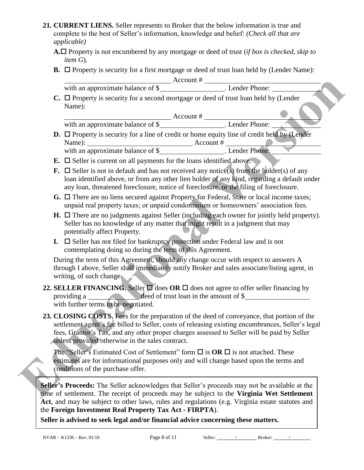- **21. CURRENT LIENS.** Seller represents to Broker that the below information is true and complete to the best of Seller's information, knowledge and belief: *(Check all that are applicable)*
	- **A.** Property is not encumbered by any mortgage or deed of trust (*if box is checked, skip to item G*).
	- **B.**  $\Box$  Property is security for a first mortgage or deed of trust loan held by (Lender Name):

|    | $C. \Box$ Property is security for a second mortgage or deed of trust loan held by (Lender                                                                                                                                                                                                                                                                                                                                                    |
|----|-----------------------------------------------------------------------------------------------------------------------------------------------------------------------------------------------------------------------------------------------------------------------------------------------------------------------------------------------------------------------------------------------------------------------------------------------|
|    | Name):                                                                                                                                                                                                                                                                                                                                                                                                                                        |
|    |                                                                                                                                                                                                                                                                                                                                                                                                                                               |
|    |                                                                                                                                                                                                                                                                                                                                                                                                                                               |
|    | $D.$ $\Box$ Property is security for a line of credit or home equity line of credit held by (Lender                                                                                                                                                                                                                                                                                                                                           |
|    |                                                                                                                                                                                                                                                                                                                                                                                                                                               |
|    | <b>E.</b> $\Box$ Seller is current on all payments for the loans identified above.                                                                                                                                                                                                                                                                                                                                                            |
|    | <b>F.</b> $\Box$ Seller is not in default and has not received any notice(s) from the holder(s) of any<br>loan identified above, or from any other lien holder of any kind, regarding a default under<br>any loan, threatened foreclosure, notice of foreclosure, or the filing of foreclosure.                                                                                                                                               |
|    | $G. \Box$ There are no liens secured against Property for Federal, State or local income taxes;<br>unpaid real property taxes; or unpaid condominium or homeowners' association fees.                                                                                                                                                                                                                                                         |
|    | $H.$ $\Box$ There are no judgments against Seller (including each owner for jointly held property).<br>Seller has no knowledge of any matter that might result in a judgment that may<br>potentially affect Property.                                                                                                                                                                                                                         |
| I. | $\square$ Seller has not filed for bankruptcy protection under Federal law and is not<br>contemplating doing so during the term of this Agreement.                                                                                                                                                                                                                                                                                            |
|    | During the term of this Agreement, should any change occur with respect to answers A<br>through I above, Seller shall immediately notify Broker and sales associate/listing agent, in<br>writing, of such change.                                                                                                                                                                                                                             |
|    | 22. SELLER FINANCING. Seller $\Box$ does OR $\Box$ does not agree to offer seller financing by<br>providing a <u>deed</u> of trust loan in the amount of \$<br>with further terms to be negotiated.                                                                                                                                                                                                                                           |
|    | 23. CLOSING COSTS. Fees for the preparation of the deed of conveyance, that portion of the<br>settlement agent's fee billed to Seller, costs of releasing existing encumbrances, Seller's legal<br>fees, Grantor's Tax, and any other proper charges assessed to Seller will be paid by Seller<br>unless provided otherwise in the sales contract.                                                                                            |
|    | The "Seller's Estimated Cost of Settlement" form $\Box$ is <b>OR</b> $\Box$ is not attached. These<br>estimates are for informational purposes only and will change based upon the terms and<br>conditions of the purchase offer.                                                                                                                                                                                                             |
|    | Seller's Proceeds: The Seller acknowledges that Seller's proceeds may not be available at the<br>time of settlement. The receipt of proceeds may be subject to the Virginia Wet Settlement<br>Act, and may be subject to other laws, rules and regulations (e.g. Virginia estate statutes and<br>the Foreign Investment Real Property Tax Act - FIRPTA).<br>Seller is advised to seek legal and/or financial advice concerning these matters. |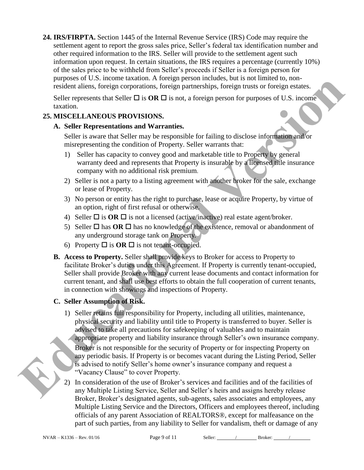**24. IRS/FIRPTA.** Section 1445 of the Internal Revenue Service (IRS) Code may require the settlement agent to report the gross sales price, Seller's federal tax identification number and other required information to the IRS. Seller will provide to the settlement agent such information upon request. In certain situations, the IRS requires a percentage (currently 10%) of the sales price to be withheld from Seller's proceeds if Seller is a foreign person for purposes of U.S. income taxation. A foreign person includes, but is not limited to, nonresident aliens, foreign corporations, foreign partnerships, foreign trusts or foreign estates.

Seller represents that Seller  $\Box$  is  $\overline{OR} \Box$  is not, a foreign person for purposes of U.S. income taxation.

## **25. MISCELLANEOUS PROVISIONS.**

### **A. Seller Representations and Warranties.**

Seller is aware that Seller may be responsible for failing to disclose information and/or misrepresenting the condition of Property. Seller warrants that:

- 1) Seller has capacity to convey good and marketable title to Property by general warranty deed and represents that Property is insurable by a licensed title insurance company with no additional risk premium.
- 2) Seller is not a party to a listing agreement with another broker for the sale, exchange or lease of Property.
- 3) No person or entity has the right to purchase, lease or acquire Property, by virtue of an option, right of first refusal or otherwise.
- 4) Seller  $\Box$  is **OR**  $\Box$  is not a licensed (active/inactive) real estate agent/broker.
- 5) Seller  $\Box$  has **OR**  $\Box$  has no knowledge of the existence, removal or abandonment of any underground storage tank on Property.
- 6) Property  $\Box$  is **OR**  $\Box$  is not tenant-occupied.
- **B. Access to Property.** Seller shall provide keys to Broker for access to Property to facilitate Broker's duties under this Agreement. If Property is currently tenant-occupied, Seller shall provide Broker with any current lease documents and contact information for current tenant, and shall use best efforts to obtain the full cooperation of current tenants, in connection with showings and inspections of Property.

# **C. Seller Assumption of Risk.**

- 1) Seller retains full responsibility for Property, including all utilities, maintenance, physical security and liability until title to Property is transferred to buyer. Seller is advised to take all precautions for safekeeping of valuables and to maintain appropriate property and liability insurance through Seller's own insurance company. Broker is not responsible for the security of Property or for inspecting Property on any periodic basis. If Property is or becomes vacant during the Listing Period, Seller is advised to notify Seller's home owner's insurance company and request a "Vacancy Clause" to cover Property. proposes the case of contract in a foreign particular is the win tunnit the analytical version of the same scale and the scale of the scale of the scale of the scale of the scale of the scale of the scale of the scale of t
	- 2) In consideration of the use of Broker's services and facilities and of the facilities of any Multiple Listing Service, Seller and Seller's heirs and assigns hereby release Broker, Broker's designated agents, sub-agents, sales associates and employees, any Multiple Listing Service and the Directors, Officers and employees thereof, including officials of any parent Association of REALTORS®, except for malfeasance on the part of such parties, from any liability to Seller for vandalism, theft or damage of any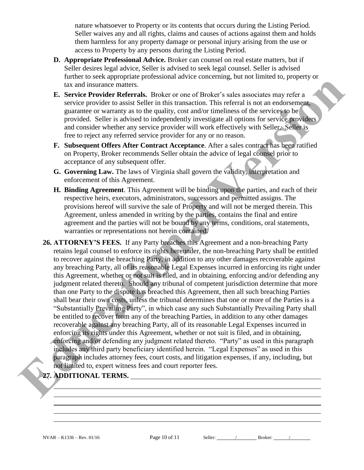nature whatsoever to Property or its contents that occurs during the Listing Period. Seller waives any and all rights, claims and causes of actions against them and holds them harmless for any property damage or personal injury arising from the use or access to Property by any persons during the Listing Period.

- **D. Appropriate Professional Advice.** Broker can counsel on real estate matters, but if Seller desires legal advice, Seller is advised to seek legal counsel. Seller is advised further to seek appropriate professional advice concerning, but not limited to, property or tax and insurance matters.
- **E. Service Provider Referrals.** Broker or one of Broker's sales associates may refer a service provider to assist Seller in this transaction. This referral is not an endorsement, guarantee or warranty as to the quality, cost and/or timeliness of the services to be provided. Seller is advised to independently investigate all options for service providers and consider whether any service provider will work effectively with Seller. Seller is free to reject any referred service provider for any or no reason.
- **F. Subsequent Offers After Contract Acceptance**. After a sales contract has been ratified on Property, Broker recommends Seller obtain the advice of legal counsel prior to acceptance of any subsequent offer.
- **G. Governing Law.** The laws of Virginia shall govern the validity, interpretation and enforcement of this Agreement.
- **H. Binding Agreement**. This Agreement will be binding upon the parties, and each of their respective heirs, executors, administrators, successors and permitted assigns. The provisions hereof will survive the sale of Property and will not be merged therein. This Agreement, unless amended in writing by the parties, contains the final and entire agreement and the parties will not be bound by any terms, conditions, oral statements, warranties or representations not herein contained.
- **26. ATTORNEY'S FEES.** If any Party breaches this Agreement and a non-breaching Party retains legal counsel to enforce its rights hereunder, the non-breaching Party shall be entitled to recover against the breaching Party, in addition to any other damages recoverable against any breaching Party, all of its reasonable Legal Expenses incurred in enforcing its right under this Agreement, whether or not suit is filed, and in obtaining, enforcing and/or defending any judgment related thereto. Should any tribunal of competent jurisdiction determine that more than one Party to the dispute has breached this Agreement, then all such breaching Parties shall bear their own costs, unless the tribunal determines that one or more of the Parties is a "Substantially Prevailing Party", in which case any such Substantially Prevailing Party shall be entitled to recover from any of the breaching Parties, in addition to any other damages recoverable against any breaching Party, all of its reasonable Legal Expenses incurred in enforcing its rights under this Agreement, whether or not suit is filed, and in obtaining, enforcing and/or defending any judgment related thereto. "Party" as used in this paragraph includes any third party beneficiary identified herein. "Legal Expenses" as used in this paragraph includes attorney fees, court costs, and litigation expenses, if any, including, but not limited to, expert witness fees and court reporter fees. In a main internal version of the state of the state of the state is a section of the state of the state of the state of the state of the state of the state of the state of the state of the state of the state of the state

## **27. ADDITIONAL TERMS.**

 $\overline{\phantom{a}}$ 

 $\overline{a}$